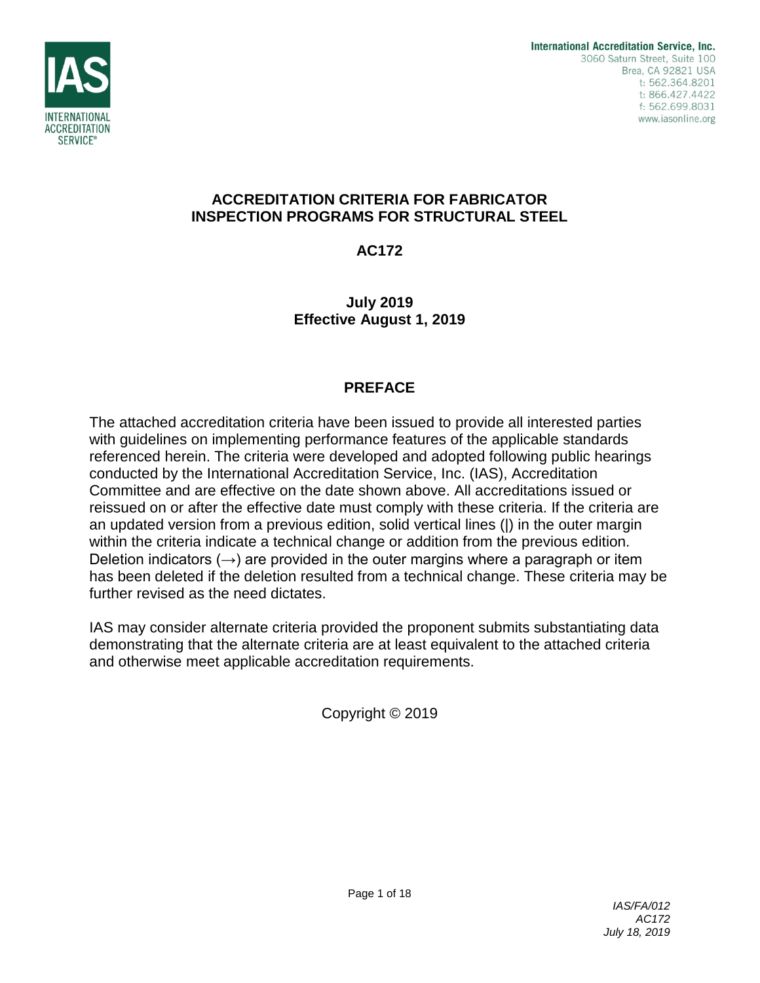

# **ACCREDITATION CRITERIA FOR FABRICATOR INSPECTION PROGRAMS FOR STRUCTURAL STEEL**

**AC172**

**July 2019 Effective August 1, 2019**

# **PREFACE**

The attached accreditation criteria have been issued to provide all interested parties with guidelines on implementing performance features of the applicable standards referenced herein. The criteria were developed and adopted following public hearings conducted by the International Accreditation Service, Inc. (IAS), Accreditation Committee and are effective on the date shown above. All accreditations issued or reissued on or after the effective date must comply with these criteria. If the criteria are an updated version from a previous edition, solid vertical lines (|) in the outer margin within the criteria indicate a technical change or addition from the previous edition. Deletion indicators  $(\rightarrow)$  are provided in the outer margins where a paragraph or item has been deleted if the deletion resulted from a technical change. These criteria may be further revised as the need dictates.

IAS may consider alternate criteria provided the proponent submits substantiating data demonstrating that the alternate criteria are at least equivalent to the attached criteria and otherwise meet applicable accreditation requirements.

Copyright © 2019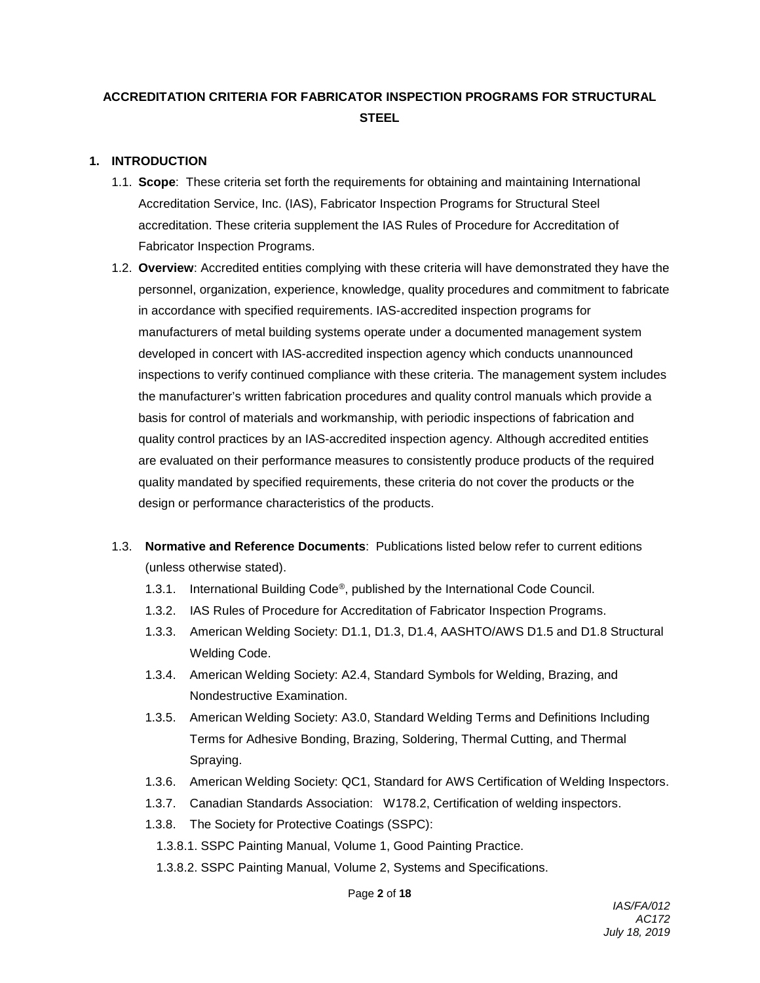# **ACCREDITATION CRITERIA FOR FABRICATOR INSPECTION PROGRAMS FOR STRUCTURAL STEEL**

### **1. INTRODUCTION**

- 1.1. **Scope**: These criteria set forth the requirements for obtaining and maintaining International Accreditation Service, Inc. (IAS), Fabricator Inspection Programs for Structural Steel accreditation. These criteria supplement the IAS Rules of Procedure for Accreditation of Fabricator Inspection Programs.
- 1.2. **Overview**: Accredited entities complying with these criteria will have demonstrated they have the personnel, organization, experience, knowledge, quality procedures and commitment to fabricate in accordance with specified requirements. IAS-accredited inspection programs for manufacturers of metal building systems operate under a documented management system developed in concert with IAS-accredited inspection agency which conducts unannounced inspections to verify continued compliance with these criteria. The management system includes the manufacturer's written fabrication procedures and quality control manuals which provide a basis for control of materials and workmanship, with periodic inspections of fabrication and quality control practices by an IAS-accredited inspection agency. Although accredited entities are evaluated on their performance measures to consistently produce products of the required quality mandated by specified requirements, these criteria do not cover the products or the design or performance characteristics of the products.
- 1.3. **Normative and Reference Documents**: Publications listed below refer to current editions (unless otherwise stated).
	- 1.3.1. International Building Code®, published by the International Code Council.
	- 1.3.2. IAS Rules of Procedure for Accreditation of Fabricator Inspection Programs.
	- 1.3.3. American Welding Society: D1.1, D1.3, D1.4, AASHTO/AWS D1.5 and D1.8 Structural Welding Code.
	- 1.3.4. American Welding Society: A2.4, Standard Symbols for Welding, Brazing, and Nondestructive Examination.
	- 1.3.5. American Welding Society: A3.0, Standard Welding Terms and Definitions Including Terms for Adhesive Bonding, Brazing, Soldering, Thermal Cutting, and Thermal Spraying.
	- 1.3.6. American Welding Society: QC1, Standard for AWS Certification of Welding Inspectors.
	- 1.3.7. Canadian Standards Association: W178.2, Certification of welding inspectors.
	- 1.3.8. The Society for Protective Coatings (SSPC):
		- 1.3.8.1. SSPC Painting Manual, Volume 1, Good Painting Practice.
		- 1.3.8.2. SSPC Painting Manual, Volume 2, Systems and Specifications.

Page **2** of **18**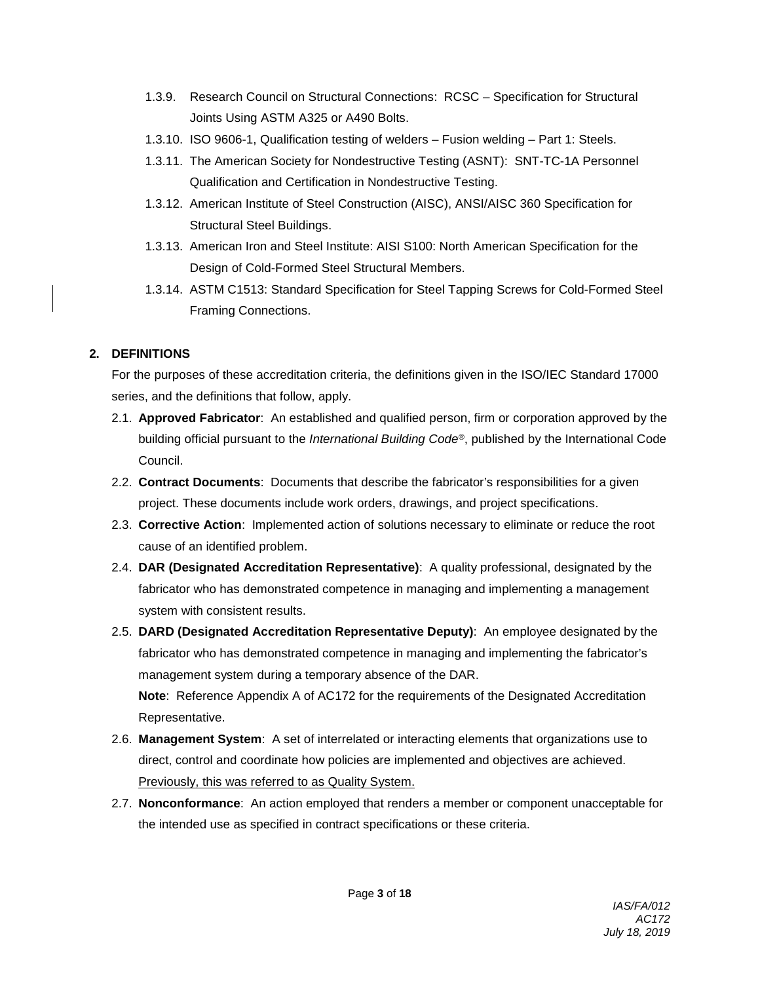- 1.3.9. Research Council on Structural Connections: RCSC Specification for Structural Joints Using ASTM A325 or A490 Bolts.
- 1.3.10. ISO 9606-1, Qualification testing of welders Fusion welding Part 1: Steels.
- 1.3.11. The American Society for Nondestructive Testing (ASNT): SNT-TC-1A Personnel Qualification and Certification in Nondestructive Testing.
- 1.3.12. American Institute of Steel Construction (AISC), ANSI/AISC 360 Specification for Structural Steel Buildings.
- 1.3.13. American Iron and Steel Institute: AISI S100: North American Specification for the Design of Cold-Formed Steel Structural Members.
- 1.3.14. ASTM C1513: Standard Specification for Steel Tapping Screws for Cold-Formed Steel Framing Connections.

### **2. DEFINITIONS**

For the purposes of these accreditation criteria, the definitions given in the ISO/IEC Standard 17000 series, and the definitions that follow, apply.

- 2.1. **Approved Fabricator**: An established and qualified person, firm or corporation approved by the building official pursuant to the *International Building Code®*, published by the International Code Council.
- 2.2. **Contract Documents**: Documents that describe the fabricator's responsibilities for a given project. These documents include work orders, drawings, and project specifications.
- 2.3. **Corrective Action**: Implemented action of solutions necessary to eliminate or reduce the root cause of an identified problem.
- 2.4. **DAR (Designated Accreditation Representative)**: A quality professional, designated by the fabricator who has demonstrated competence in managing and implementing a management system with consistent results.
- 2.5. **DARD (Designated Accreditation Representative Deputy)**: An employee designated by the fabricator who has demonstrated competence in managing and implementing the fabricator's management system during a temporary absence of the DAR. **Note**: Reference Appendix A of AC172 for the requirements of the Designated Accreditation Representative.
- 2.6. **Management System**: A set of interrelated or interacting elements that organizations use to direct, control and coordinate how policies are implemented and objectives are achieved. Previously, this was referred to as Quality System.
- 2.7. **Nonconformance**: An action employed that renders a member or component unacceptable for the intended use as specified in contract specifications or these criteria.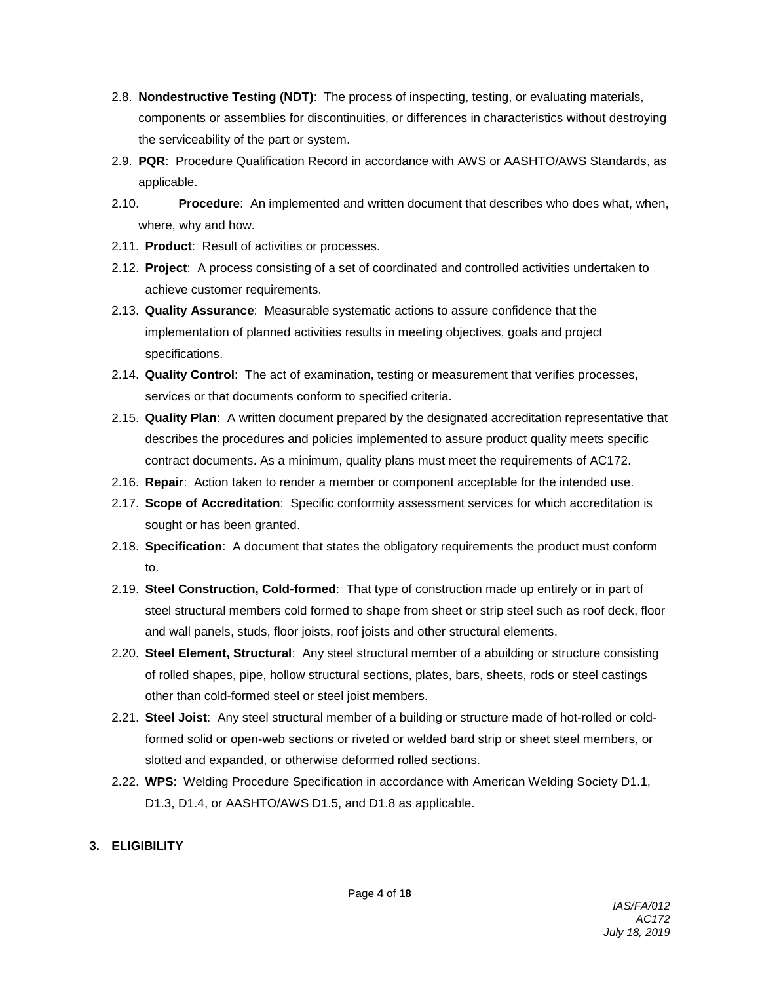- 2.8. **Nondestructive Testing (NDT)**: The process of inspecting, testing, or evaluating materials, components or assemblies for discontinuities, or differences in characteristics without destroying the serviceability of the part or system.
- 2.9. **PQR**: Procedure Qualification Record in accordance with AWS or AASHTO/AWS Standards, as applicable.
- 2.10. **Procedure**: An implemented and written document that describes who does what, when, where, why and how.
- 2.11. **Product**: Result of activities or processes.
- 2.12. **Project**: A process consisting of a set of coordinated and controlled activities undertaken to achieve customer requirements.
- 2.13. **Quality Assurance**: Measurable systematic actions to assure confidence that the implementation of planned activities results in meeting objectives, goals and project specifications.
- 2.14. **Quality Control**: The act of examination, testing or measurement that verifies processes, services or that documents conform to specified criteria.
- 2.15. **Quality Plan**: A written document prepared by the designated accreditation representative that describes the procedures and policies implemented to assure product quality meets specific contract documents. As a minimum, quality plans must meet the requirements of AC172.
- 2.16. **Repair**: Action taken to render a member or component acceptable for the intended use.
- 2.17. **Scope of Accreditation**: Specific conformity assessment services for which accreditation is sought or has been granted.
- 2.18. **Specification**: A document that states the obligatory requirements the product must conform to.
- 2.19. **Steel Construction, Cold-formed**: That type of construction made up entirely or in part of steel structural members cold formed to shape from sheet or strip steel such as roof deck, floor and wall panels, studs, floor joists, roof joists and other structural elements.
- 2.20. **Steel Element, Structural**: Any steel structural member of a abuilding or structure consisting of rolled shapes, pipe, hollow structural sections, plates, bars, sheets, rods or steel castings other than cold-formed steel or steel joist members.
- 2.21. **Steel Joist**: Any steel structural member of a building or structure made of hot-rolled or coldformed solid or open-web sections or riveted or welded bard strip or sheet steel members, or slotted and expanded, or otherwise deformed rolled sections.
- 2.22. **WPS**: Welding Procedure Specification in accordance with American Welding Society D1.1, D1.3, D1.4, or AASHTO/AWS D1.5, and D1.8 as applicable.

# **3. ELIGIBILITY**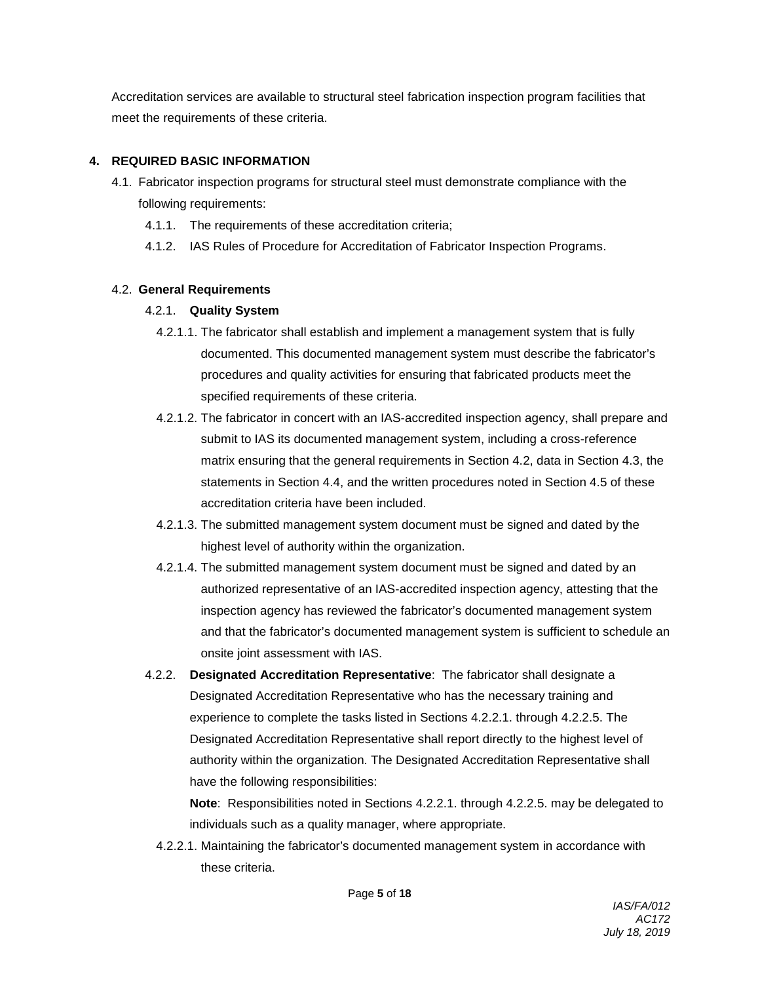Accreditation services are available to structural steel fabrication inspection program facilities that meet the requirements of these criteria.

### **4. REQUIRED BASIC INFORMATION**

- 4.1. Fabricator inspection programs for structural steel must demonstrate compliance with the following requirements:
	- 4.1.1. The requirements of these accreditation criteria;
	- 4.1.2. IAS Rules of Procedure for Accreditation of Fabricator Inspection Programs.

# 4.2. **General Requirements**

# 4.2.1. **Quality System**

- 4.2.1.1. The fabricator shall establish and implement a management system that is fully documented. This documented management system must describe the fabricator's procedures and quality activities for ensuring that fabricated products meet the specified requirements of these criteria.
- 4.2.1.2. The fabricator in concert with an IAS-accredited inspection agency, shall prepare and submit to IAS its documented management system, including a cross-reference matrix ensuring that the general requirements in Section 4.2, data in Section 4.3, the statements in Section 4.4, and the written procedures noted in Section 4.5 of these accreditation criteria have been included.
- 4.2.1.3. The submitted management system document must be signed and dated by the highest level of authority within the organization.
- 4.2.1.4. The submitted management system document must be signed and dated by an authorized representative of an IAS-accredited inspection agency, attesting that the inspection agency has reviewed the fabricator's documented management system and that the fabricator's documented management system is sufficient to schedule an onsite joint assessment with IAS.
- 4.2.2. **Designated Accreditation Representative**: The fabricator shall designate a Designated Accreditation Representative who has the necessary training and experience to complete the tasks listed in Sections 4.2.2.1. through 4.2.2.5. The Designated Accreditation Representative shall report directly to the highest level of authority within the organization. The Designated Accreditation Representative shall have the following responsibilities:

**Note**: Responsibilities noted in Sections 4.2.2.1. through 4.2.2.5. may be delegated to individuals such as a quality manager, where appropriate.

4.2.2.1. Maintaining the fabricator's documented management system in accordance with these criteria.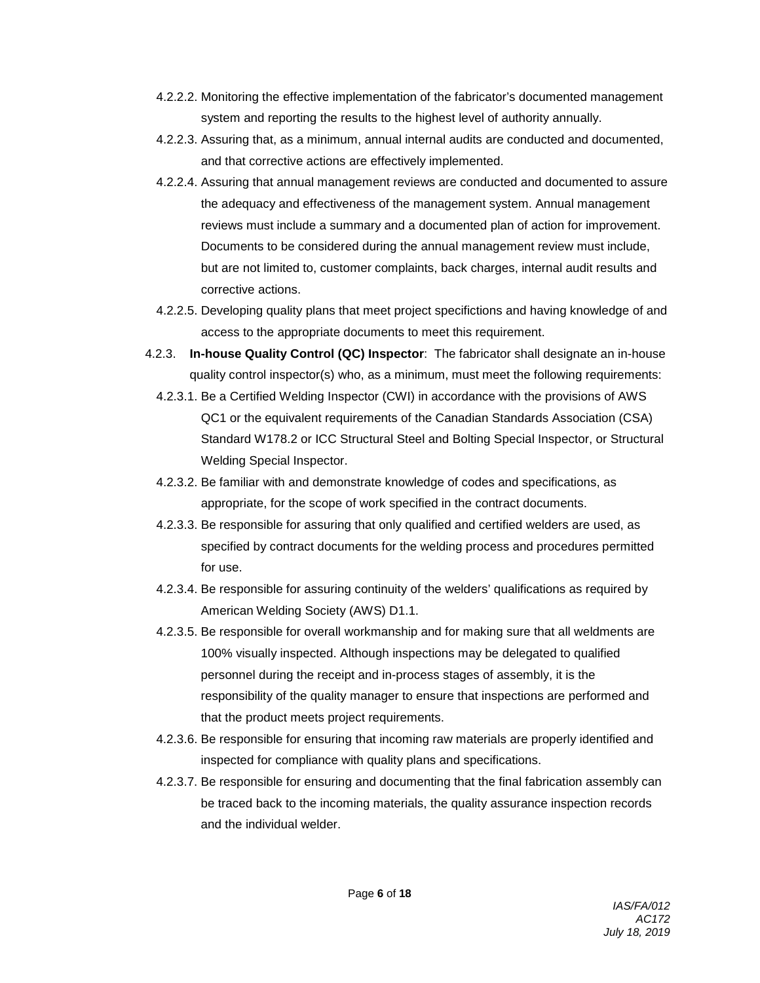- 4.2.2.2. Monitoring the effective implementation of the fabricator's documented management system and reporting the results to the highest level of authority annually.
- 4.2.2.3. Assuring that, as a minimum, annual internal audits are conducted and documented, and that corrective actions are effectively implemented.
- 4.2.2.4. Assuring that annual management reviews are conducted and documented to assure the adequacy and effectiveness of the management system. Annual management reviews must include a summary and a documented plan of action for improvement. Documents to be considered during the annual management review must include, but are not limited to, customer complaints, back charges, internal audit results and corrective actions.
- 4.2.2.5. Developing quality plans that meet project specifictions and having knowledge of and access to the appropriate documents to meet this requirement.
- 4.2.3. **In-house Quality Control (QC) Inspector**: The fabricator shall designate an in-house quality control inspector(s) who, as a minimum, must meet the following requirements:
	- 4.2.3.1. Be a Certified Welding Inspector (CWI) in accordance with the provisions of AWS QC1 or the equivalent requirements of the Canadian Standards Association (CSA) Standard W178.2 or ICC Structural Steel and Bolting Special Inspector, or Structural Welding Special Inspector.
	- 4.2.3.2. Be familiar with and demonstrate knowledge of codes and specifications, as appropriate, for the scope of work specified in the contract documents.
	- 4.2.3.3. Be responsible for assuring that only qualified and certified welders are used, as specified by contract documents for the welding process and procedures permitted for use.
	- 4.2.3.4. Be responsible for assuring continuity of the welders' qualifications as required by American Welding Society (AWS) D1.1.
	- 4.2.3.5. Be responsible for overall workmanship and for making sure that all weldments are 100% visually inspected. Although inspections may be delegated to qualified personnel during the receipt and in-process stages of assembly, it is the responsibility of the quality manager to ensure that inspections are performed and that the product meets project requirements.
	- 4.2.3.6. Be responsible for ensuring that incoming raw materials are properly identified and inspected for compliance with quality plans and specifications.
	- 4.2.3.7. Be responsible for ensuring and documenting that the final fabrication assembly can be traced back to the incoming materials, the quality assurance inspection records and the individual welder.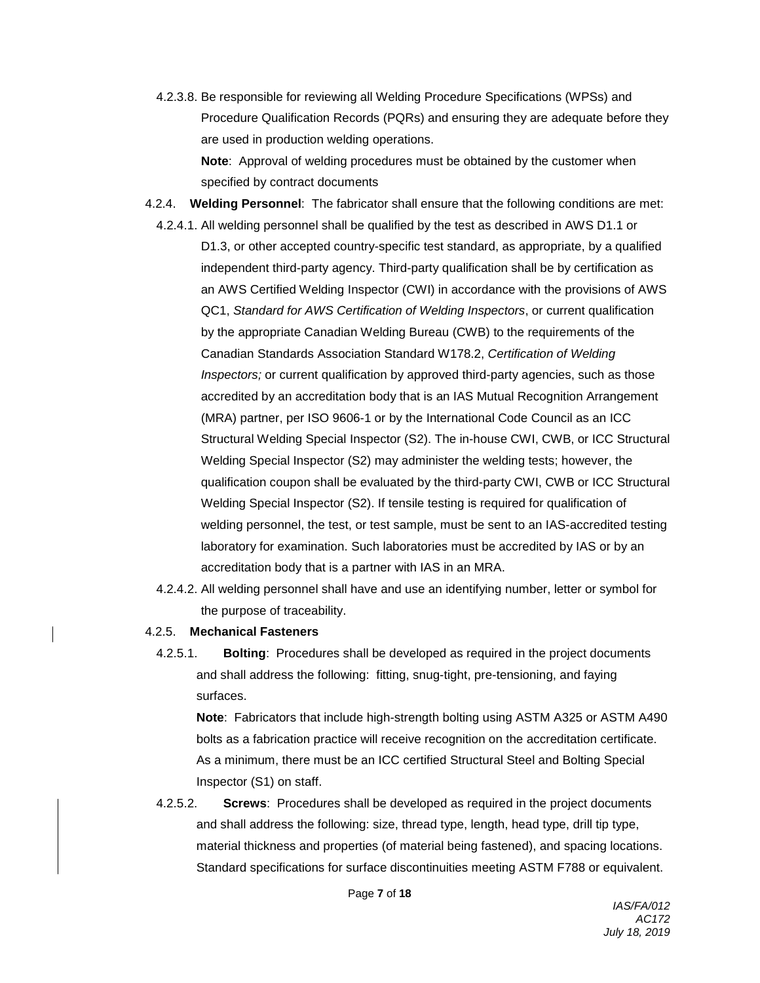- 4.2.3.8. Be responsible for reviewing all Welding Procedure Specifications (WPSs) and Procedure Qualification Records (PQRs) and ensuring they are adequate before they are used in production welding operations. **Note**: Approval of welding procedures must be obtained by the customer when specified by contract documents
- 4.2.4. **Welding Personnel**: The fabricator shall ensure that the following conditions are met:
	- 4.2.4.1. All welding personnel shall be qualified by the test as described in AWS D1.1 or D1.3, or other accepted country-specific test standard, as appropriate, by a qualified independent third-party agency. Third-party qualification shall be by certification as an AWS Certified Welding Inspector (CWI) in accordance with the provisions of AWS QC1, *Standard for AWS Certification of Welding Inspectors*, or current qualification by the appropriate Canadian Welding Bureau (CWB) to the requirements of the Canadian Standards Association Standard W178.2, *Certification of Welding Inspectors;* or current qualification by approved third-party agencies, such as those accredited by an accreditation body that is an IAS Mutual Recognition Arrangement (MRA) partner, per ISO 9606-1 or by the International Code Council as an ICC Structural Welding Special Inspector (S2). The in-house CWI, CWB, or ICC Structural Welding Special Inspector (S2) may administer the welding tests; however, the qualification coupon shall be evaluated by the third-party CWI, CWB or ICC Structural Welding Special Inspector (S2). If tensile testing is required for qualification of welding personnel, the test, or test sample, must be sent to an IAS-accredited testing laboratory for examination. Such laboratories must be accredited by IAS or by an accreditation body that is a partner with IAS in an MRA.
	- 4.2.4.2. All welding personnel shall have and use an identifying number, letter or symbol for the purpose of traceability.
- 4.2.5. **Mechanical Fasteners**
	- 4.2.5.1. **Bolting**: Procedures shall be developed as required in the project documents and shall address the following: fitting, snug-tight, pre-tensioning, and faying surfaces.

**Note**: Fabricators that include high-strength bolting using ASTM A325 or ASTM A490 bolts as a fabrication practice will receive recognition on the accreditation certificate. As a minimum, there must be an ICC certified Structural Steel and Bolting Special Inspector (S1) on staff.

4.2.5.2. **Screws**: Procedures shall be developed as required in the project documents and shall address the following: size, thread type, length, head type, drill tip type, material thickness and properties (of material being fastened), and spacing locations. Standard specifications for surface discontinuities meeting ASTM F788 or equivalent.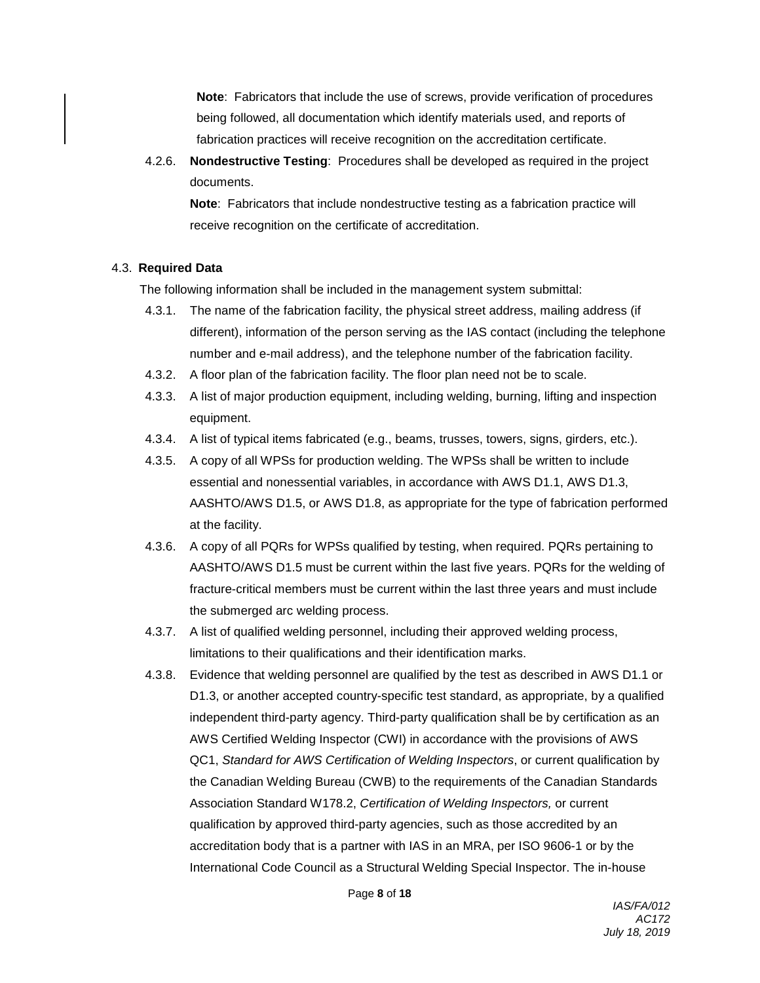**Note**: Fabricators that include the use of screws, provide verification of procedures being followed, all documentation which identify materials used, and reports of fabrication practices will receive recognition on the accreditation certificate.

4.2.6. **Nondestructive Testing**: Procedures shall be developed as required in the project documents.

**Note**: Fabricators that include nondestructive testing as a fabrication practice will receive recognition on the certificate of accreditation.

### 4.3. **Required Data**

The following information shall be included in the management system submittal:

- 4.3.1. The name of the fabrication facility, the physical street address, mailing address (if different), information of the person serving as the IAS contact (including the telephone number and e-mail address), and the telephone number of the fabrication facility.
- 4.3.2. A floor plan of the fabrication facility. The floor plan need not be to scale.
- 4.3.3. A list of major production equipment, including welding, burning, lifting and inspection equipment.
- 4.3.4. A list of typical items fabricated (e.g., beams, trusses, towers, signs, girders, etc.).
- 4.3.5. A copy of all WPSs for production welding. The WPSs shall be written to include essential and nonessential variables, in accordance with AWS D1.1, AWS D1.3, AASHTO/AWS D1.5, or AWS D1.8, as appropriate for the type of fabrication performed at the facility.
- 4.3.6. A copy of all PQRs for WPSs qualified by testing, when required. PQRs pertaining to AASHTO/AWS D1.5 must be current within the last five years. PQRs for the welding of fracture-critical members must be current within the last three years and must include the submerged arc welding process.
- 4.3.7. A list of qualified welding personnel, including their approved welding process, limitations to their qualifications and their identification marks.
- 4.3.8. Evidence that welding personnel are qualified by the test as described in AWS D1.1 or D1.3, or another accepted country-specific test standard, as appropriate, by a qualified independent third-party agency. Third-party qualification shall be by certification as an AWS Certified Welding Inspector (CWI) in accordance with the provisions of AWS QC1, *Standard for AWS Certification of Welding Inspectors*, or current qualification by the Canadian Welding Bureau (CWB) to the requirements of the Canadian Standards Association Standard W178.2, *Certification of Welding Inspectors,* or current qualification by approved third-party agencies, such as those accredited by an accreditation body that is a partner with IAS in an MRA, per ISO 9606-1 or by the International Code Council as a Structural Welding Special Inspector. The in-house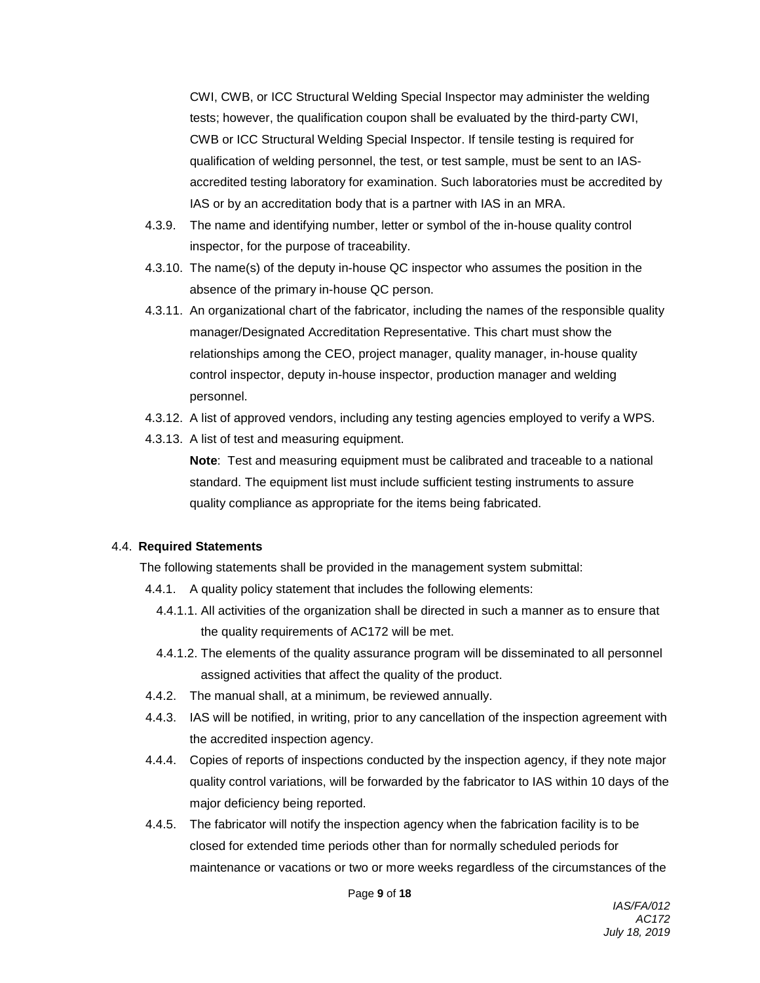CWI, CWB, or ICC Structural Welding Special Inspector may administer the welding tests; however, the qualification coupon shall be evaluated by the third-party CWI, CWB or ICC Structural Welding Special Inspector. If tensile testing is required for qualification of welding personnel, the test, or test sample, must be sent to an IASaccredited testing laboratory for examination. Such laboratories must be accredited by IAS or by an accreditation body that is a partner with IAS in an MRA.

- 4.3.9. The name and identifying number, letter or symbol of the in-house quality control inspector, for the purpose of traceability.
- 4.3.10. The name(s) of the deputy in-house QC inspector who assumes the position in the absence of the primary in-house QC person.
- 4.3.11. An organizational chart of the fabricator, including the names of the responsible quality manager/Designated Accreditation Representative. This chart must show the relationships among the CEO, project manager, quality manager, in-house quality control inspector, deputy in-house inspector, production manager and welding personnel.
- 4.3.12. A list of approved vendors, including any testing agencies employed to verify a WPS.
- 4.3.13. A list of test and measuring equipment.

**Note**: Test and measuring equipment must be calibrated and traceable to a national standard. The equipment list must include sufficient testing instruments to assure quality compliance as appropriate for the items being fabricated.

### 4.4. **Required Statements**

The following statements shall be provided in the management system submittal:

- 4.4.1. A quality policy statement that includes the following elements:
	- 4.4.1.1. All activities of the organization shall be directed in such a manner as to ensure that the quality requirements of AC172 will be met.
	- 4.4.1.2. The elements of the quality assurance program will be disseminated to all personnel assigned activities that affect the quality of the product.
- 4.4.2. The manual shall, at a minimum, be reviewed annually.
- 4.4.3. IAS will be notified, in writing, prior to any cancellation of the inspection agreement with the accredited inspection agency.
- 4.4.4. Copies of reports of inspections conducted by the inspection agency, if they note major quality control variations, will be forwarded by the fabricator to IAS within 10 days of the major deficiency being reported.
- 4.4.5. The fabricator will notify the inspection agency when the fabrication facility is to be closed for extended time periods other than for normally scheduled periods for maintenance or vacations or two or more weeks regardless of the circumstances of the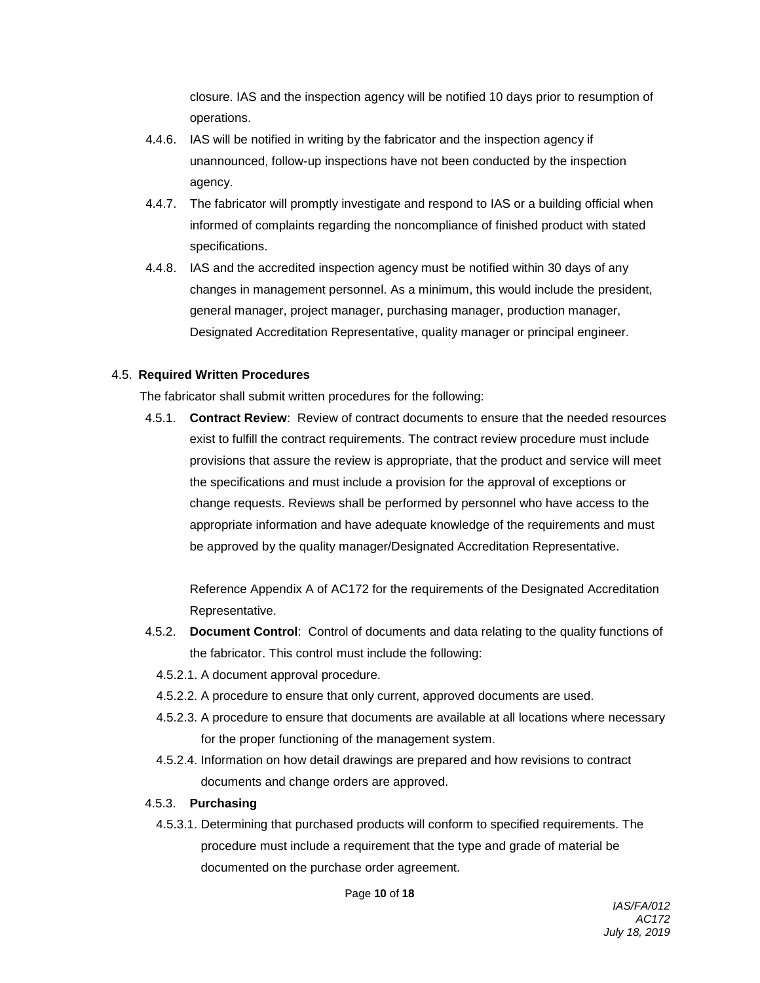closure. IAS and the inspection agency will be notified 10 days prior to resumption of operations.

- 4.4.6. IAS will be notified in writing by the fabricator and the inspection agency if unannounced, follow-up inspections have not been conducted by the inspection agency.
- 4.4.7. The fabricator will promptly investigate and respond to IAS or a building official when informed of complaints regarding the noncompliance of finished product with stated specifications.
- 4.4.8. IAS and the accredited inspection agency must be notified within 30 days of any changes in management personnel. As a minimum, this would include the president, general manager, project manager, purchasing manager, production manager, Designated Accreditation Representative, quality manager or principal engineer.

### 4.5. **Required Written Procedures**

The fabricator shall submit written procedures for the following:

4.5.1. **Contract Review**: Review of contract documents to ensure that the needed resources exist to fulfill the contract requirements. The contract review procedure must include provisions that assure the review is appropriate, that the product and service will meet the specifications and must include a provision for the approval of exceptions or change requests. Reviews shall be performed by personnel who have access to the appropriate information and have adequate knowledge of the requirements and must be approved by the quality manager/Designated Accreditation Representative.

Reference Appendix A of AC172 for the requirements of the Designated Accreditation Representative.

- 4.5.2. **Document Control**: Control of documents and data relating to the quality functions of the fabricator. This control must include the following:
	- 4.5.2.1. A document approval procedure.
	- 4.5.2.2. A procedure to ensure that only current, approved documents are used.
	- 4.5.2.3. A procedure to ensure that documents are available at all locations where necessary for the proper functioning of the management system.
	- 4.5.2.4. Information on how detail drawings are prepared and how revisions to contract documents and change orders are approved.

#### 4.5.3. **Purchasing**

4.5.3.1. Determining that purchased products will conform to specified requirements. The procedure must include a requirement that the type and grade of material be documented on the purchase order agreement.

Page **10** of **18**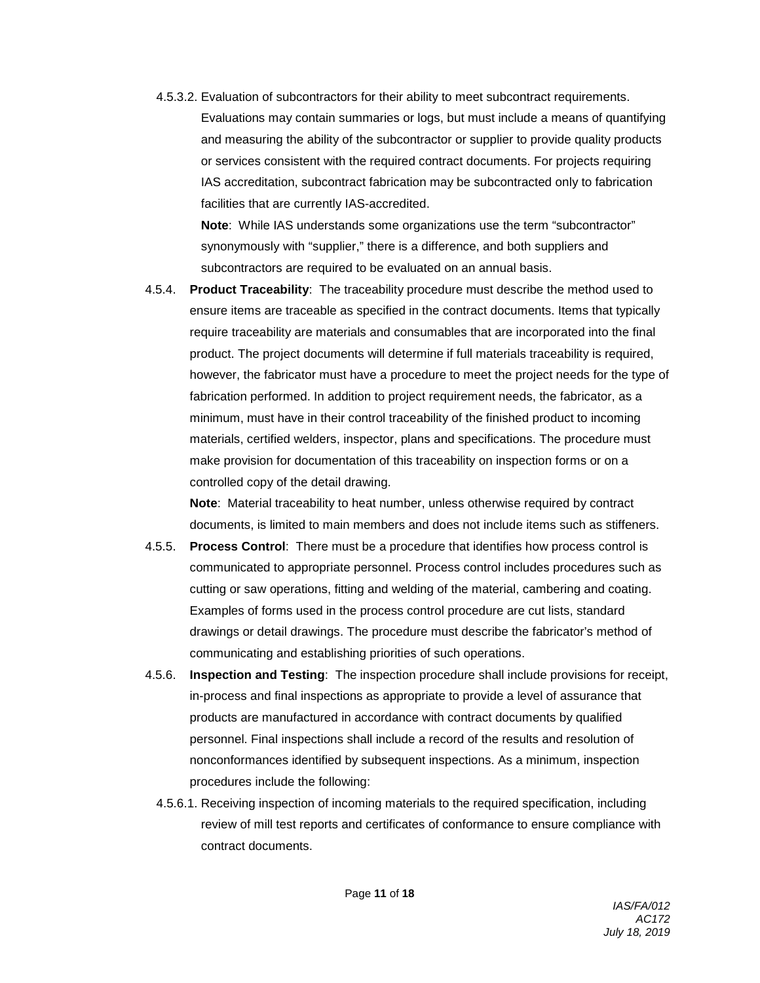4.5.3.2. Evaluation of subcontractors for their ability to meet subcontract requirements.

Evaluations may contain summaries or logs, but must include a means of quantifying and measuring the ability of the subcontractor or supplier to provide quality products or services consistent with the required contract documents. For projects requiring IAS accreditation, subcontract fabrication may be subcontracted only to fabrication facilities that are currently IAS-accredited.

**Note**: While IAS understands some organizations use the term "subcontractor" synonymously with "supplier," there is a difference, and both suppliers and subcontractors are required to be evaluated on an annual basis.

4.5.4. **Product Traceability**: The traceability procedure must describe the method used to ensure items are traceable as specified in the contract documents. Items that typically require traceability are materials and consumables that are incorporated into the final product. The project documents will determine if full materials traceability is required, however, the fabricator must have a procedure to meet the project needs for the type of fabrication performed. In addition to project requirement needs, the fabricator, as a minimum, must have in their control traceability of the finished product to incoming materials, certified welders, inspector, plans and specifications. The procedure must make provision for documentation of this traceability on inspection forms or on a controlled copy of the detail drawing.

**Note**: Material traceability to heat number, unless otherwise required by contract documents, is limited to main members and does not include items such as stiffeners.

- 4.5.5. **Process Control**: There must be a procedure that identifies how process control is communicated to appropriate personnel. Process control includes procedures such as cutting or saw operations, fitting and welding of the material, cambering and coating. Examples of forms used in the process control procedure are cut lists, standard drawings or detail drawings. The procedure must describe the fabricator's method of communicating and establishing priorities of such operations.
- 4.5.6. **Inspection and Testing**: The inspection procedure shall include provisions for receipt, in-process and final inspections as appropriate to provide a level of assurance that products are manufactured in accordance with contract documents by qualified personnel. Final inspections shall include a record of the results and resolution of nonconformances identified by subsequent inspections. As a minimum, inspection procedures include the following:
	- 4.5.6.1. Receiving inspection of incoming materials to the required specification, including review of mill test reports and certificates of conformance to ensure compliance with contract documents.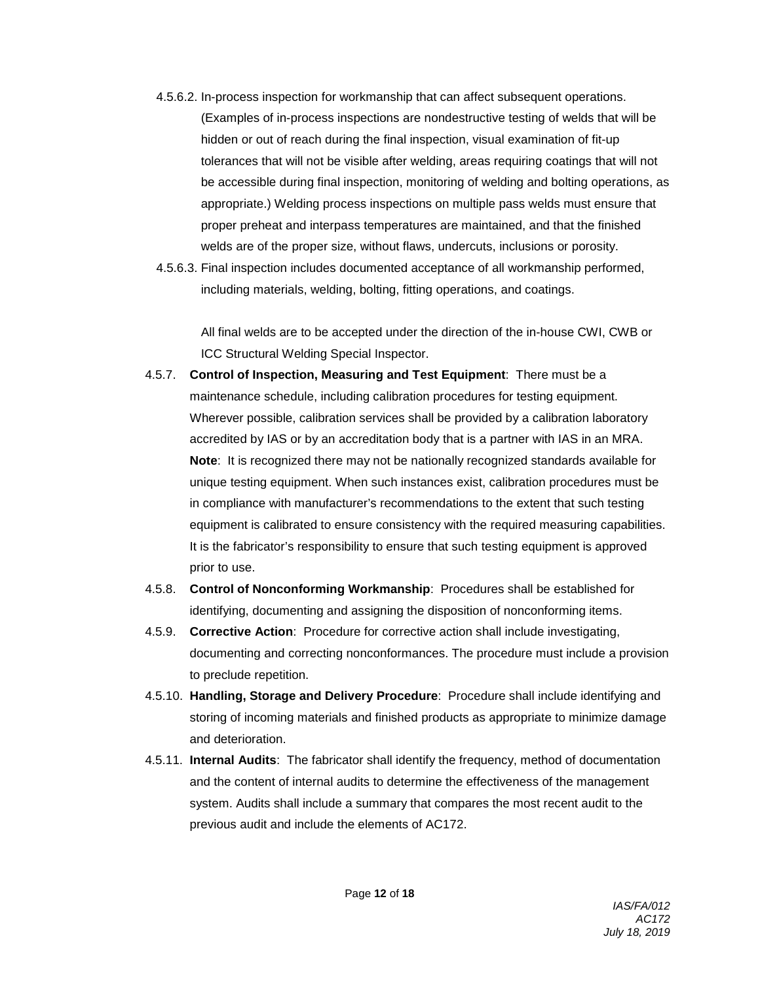4.5.6.2. In-process inspection for workmanship that can affect subsequent operations.

(Examples of in-process inspections are nondestructive testing of welds that will be hidden or out of reach during the final inspection, visual examination of fit-up tolerances that will not be visible after welding, areas requiring coatings that will not be accessible during final inspection, monitoring of welding and bolting operations, as appropriate.) Welding process inspections on multiple pass welds must ensure that proper preheat and interpass temperatures are maintained, and that the finished welds are of the proper size, without flaws, undercuts, inclusions or porosity.

4.5.6.3. Final inspection includes documented acceptance of all workmanship performed, including materials, welding, bolting, fitting operations, and coatings.

All final welds are to be accepted under the direction of the in-house CWI, CWB or ICC Structural Welding Special Inspector.

- 4.5.7. **Control of Inspection, Measuring and Test Equipment**: There must be a maintenance schedule, including calibration procedures for testing equipment. Wherever possible, calibration services shall be provided by a calibration laboratory accredited by IAS or by an accreditation body that is a partner with IAS in an MRA. **Note**: It is recognized there may not be nationally recognized standards available for unique testing equipment. When such instances exist, calibration procedures must be in compliance with manufacturer's recommendations to the extent that such testing equipment is calibrated to ensure consistency with the required measuring capabilities. It is the fabricator's responsibility to ensure that such testing equipment is approved prior to use.
- 4.5.8. **Control of Nonconforming Workmanship**: Procedures shall be established for identifying, documenting and assigning the disposition of nonconforming items.
- 4.5.9. **Corrective Action**: Procedure for corrective action shall include investigating, documenting and correcting nonconformances. The procedure must include a provision to preclude repetition.
- 4.5.10. **Handling, Storage and Delivery Procedure**: Procedure shall include identifying and storing of incoming materials and finished products as appropriate to minimize damage and deterioration.
- 4.5.11. **Internal Audits**: The fabricator shall identify the frequency, method of documentation and the content of internal audits to determine the effectiveness of the management system. Audits shall include a summary that compares the most recent audit to the previous audit and include the elements of AC172.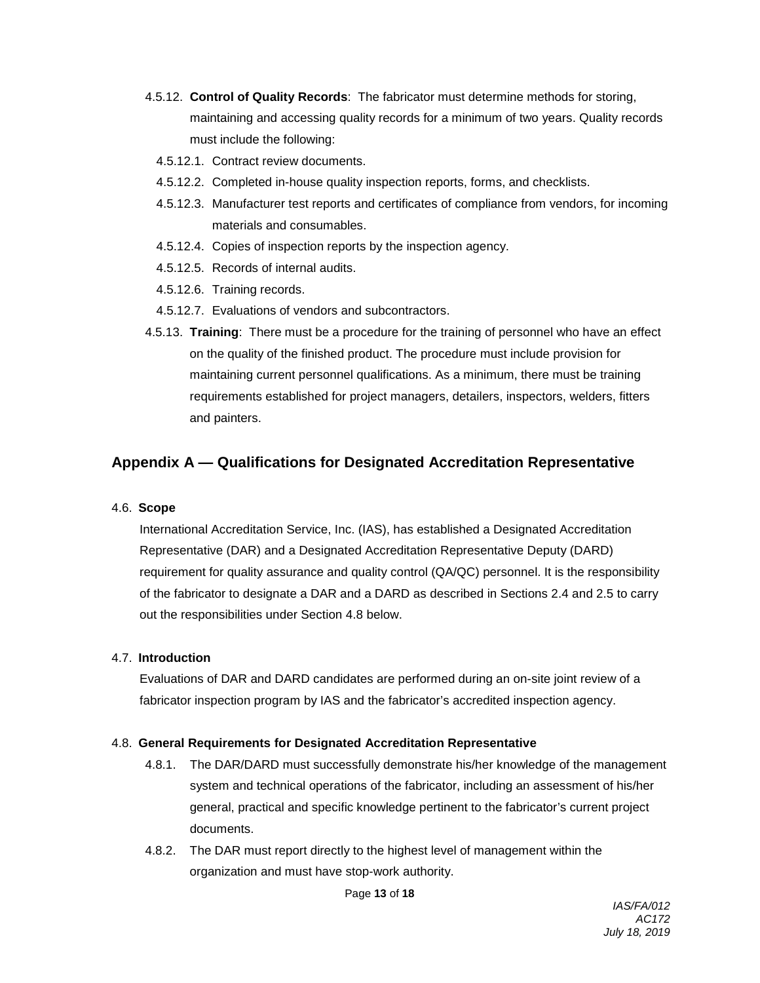- 4.5.12. **Control of Quality Records**: The fabricator must determine methods for storing, maintaining and accessing quality records for a minimum of two years. Quality records must include the following:
	- 4.5.12.1. Contract review documents.
	- 4.5.12.2. Completed in-house quality inspection reports, forms, and checklists.
	- 4.5.12.3. Manufacturer test reports and certificates of compliance from vendors, for incoming materials and consumables.
	- 4.5.12.4. Copies of inspection reports by the inspection agency.
	- 4.5.12.5. Records of internal audits.
	- 4.5.12.6. Training records.
	- 4.5.12.7. Evaluations of vendors and subcontractors.
- 4.5.13. **Training**: There must be a procedure for the training of personnel who have an effect on the quality of the finished product. The procedure must include provision for maintaining current personnel qualifications. As a minimum, there must be training requirements established for project managers, detailers, inspectors, welders, fitters and painters.

# **Appendix A — Qualifications for Designated Accreditation Representative**

#### 4.6. **Scope**

International Accreditation Service, Inc. (IAS), has established a Designated Accreditation Representative (DAR) and a Designated Accreditation Representative Deputy (DARD) requirement for quality assurance and quality control (QA/QC) personnel. It is the responsibility of the fabricator to designate a DAR and a DARD as described in Sections 2.4 and 2.5 to carry out the responsibilities under Section 4.8 below.

#### 4.7. **Introduction**

Evaluations of DAR and DARD candidates are performed during an on-site joint review of a fabricator inspection program by IAS and the fabricator's accredited inspection agency.

#### 4.8. **General Requirements for Designated Accreditation Representative**

- 4.8.1. The DAR/DARD must successfully demonstrate his/her knowledge of the management system and technical operations of the fabricator, including an assessment of his/her general, practical and specific knowledge pertinent to the fabricator's current project documents.
- 4.8.2. The DAR must report directly to the highest level of management within the organization and must have stop-work authority.

Page **13** of **18**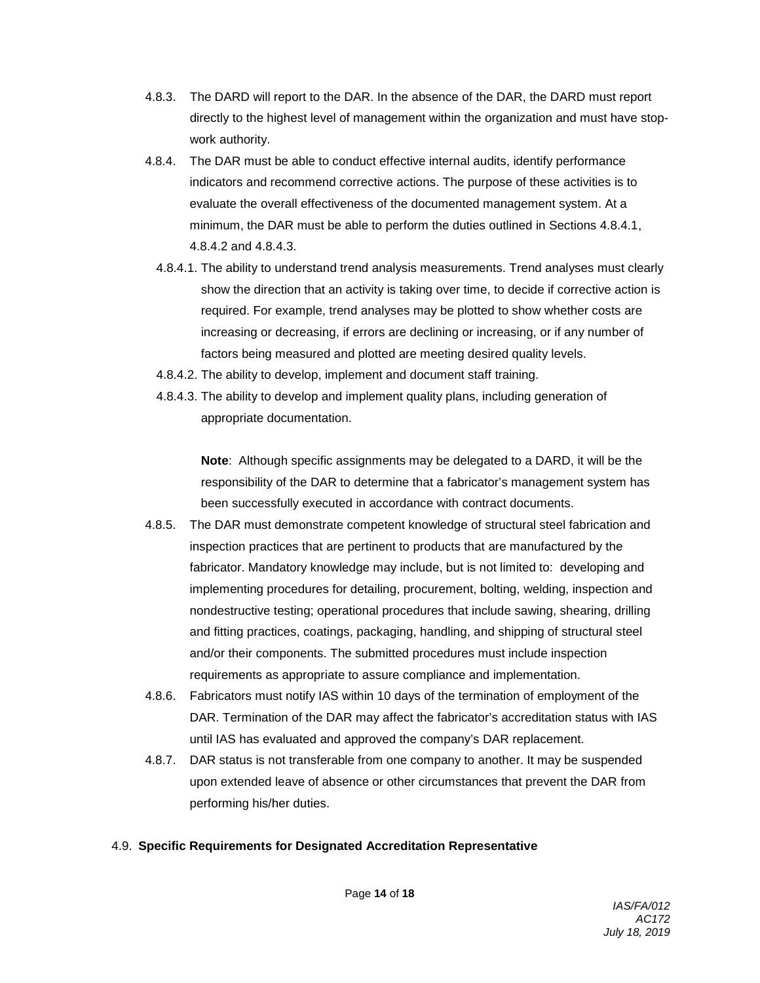- 4.8.3. The DARD will report to the DAR. In the absence of the DAR, the DARD must report directly to the highest level of management within the organization and must have stopwork authority.
- 4.8.4. The DAR must be able to conduct effective internal audits, identify performance indicators and recommend corrective actions. The purpose of these activities is to evaluate the overall effectiveness of the documented management system. At a minimum, the DAR must be able to perform the duties outlined in Sections 4.8.4.1, 4.8.4.2 and 4.8.4.3.
	- 4.8.4.1. The ability to understand trend analysis measurements. Trend analyses must clearly show the direction that an activity is taking over time, to decide if corrective action is required. For example, trend analyses may be plotted to show whether costs are increasing or decreasing, if errors are declining or increasing, or if any number of factors being measured and plotted are meeting desired quality levels.
	- 4.8.4.2. The ability to develop, implement and document staff training.
	- 4.8.4.3. The ability to develop and implement quality plans, including generation of appropriate documentation.

**Note**: Although specific assignments may be delegated to a DARD, it will be the responsibility of the DAR to determine that a fabricator's management system has been successfully executed in accordance with contract documents.

- 4.8.5. The DAR must demonstrate competent knowledge of structural steel fabrication and inspection practices that are pertinent to products that are manufactured by the fabricator. Mandatory knowledge may include, but is not limited to: developing and implementing procedures for detailing, procurement, bolting, welding, inspection and nondestructive testing; operational procedures that include sawing, shearing, drilling and fitting practices, coatings, packaging, handling, and shipping of structural steel and/or their components. The submitted procedures must include inspection requirements as appropriate to assure compliance and implementation.
- 4.8.6. Fabricators must notify IAS within 10 days of the termination of employment of the DAR. Termination of the DAR may affect the fabricator's accreditation status with IAS until IAS has evaluated and approved the company's DAR replacement.
- 4.8.7. DAR status is not transferable from one company to another. It may be suspended upon extended leave of absence or other circumstances that prevent the DAR from performing his/her duties.

### 4.9. **Specific Requirements for Designated Accreditation Representative**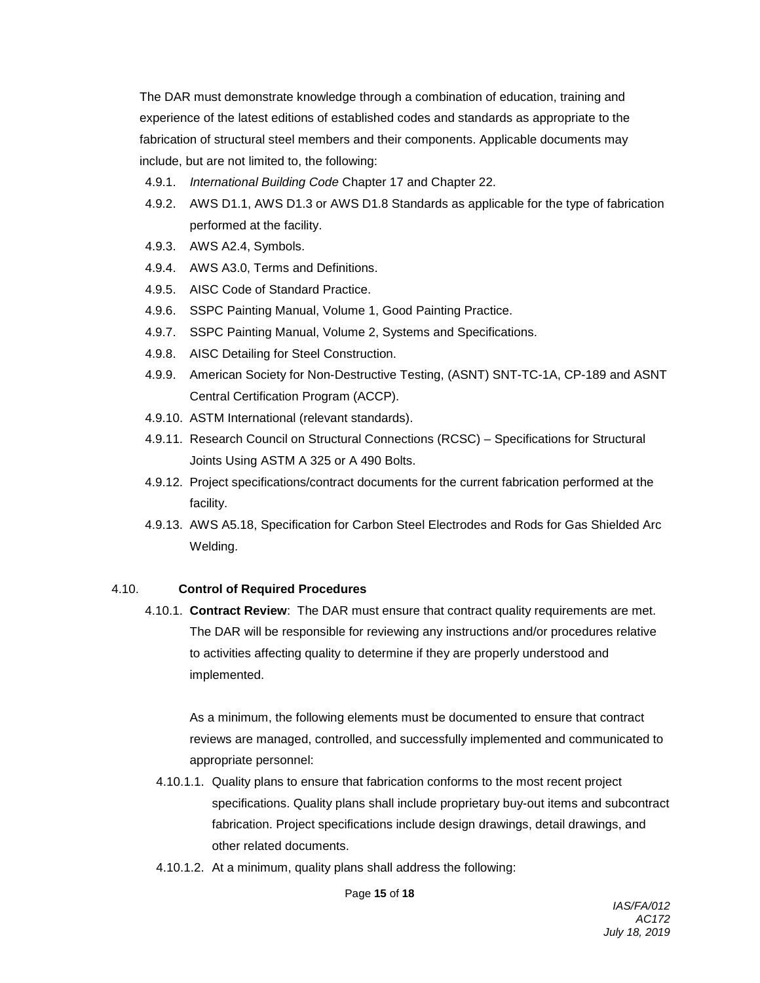The DAR must demonstrate knowledge through a combination of education, training and experience of the latest editions of established codes and standards as appropriate to the fabrication of structural steel members and their components. Applicable documents may include, but are not limited to, the following:

- 4.9.1. *International Building Code* Chapter 17 and Chapter 22.
- 4.9.2. AWS D1.1, AWS D1.3 or AWS D1.8 Standards as applicable for the type of fabrication performed at the facility.
- 4.9.3. AWS A2.4, Symbols.
- 4.9.4. AWS A3.0, Terms and Definitions.
- 4.9.5. AISC Code of Standard Practice.
- 4.9.6. SSPC Painting Manual, Volume 1, Good Painting Practice.
- 4.9.7. SSPC Painting Manual, Volume 2, Systems and Specifications.
- 4.9.8. AISC Detailing for Steel Construction.
- 4.9.9. American Society for Non-Destructive Testing, (ASNT) SNT-TC-1A, CP-189 and ASNT Central Certification Program (ACCP).
- 4.9.10. ASTM International (relevant standards).
- 4.9.11. Research Council on Structural Connections (RCSC) Specifications for Structural Joints Using ASTM A 325 or A 490 Bolts.
- 4.9.12. Project specifications/contract documents for the current fabrication performed at the facility.
- 4.9.13. AWS A5.18, Specification for Carbon Steel Electrodes and Rods for Gas Shielded Arc Welding.

#### 4.10. **Control of Required Procedures**

4.10.1. **Contract Review**: The DAR must ensure that contract quality requirements are met. The DAR will be responsible for reviewing any instructions and/or procedures relative to activities affecting quality to determine if they are properly understood and implemented.

As a minimum, the following elements must be documented to ensure that contract reviews are managed, controlled, and successfully implemented and communicated to appropriate personnel:

- 4.10.1.1. Quality plans to ensure that fabrication conforms to the most recent project specifications. Quality plans shall include proprietary buy-out items and subcontract fabrication. Project specifications include design drawings, detail drawings, and other related documents.
- 4.10.1.2. At a minimum, quality plans shall address the following: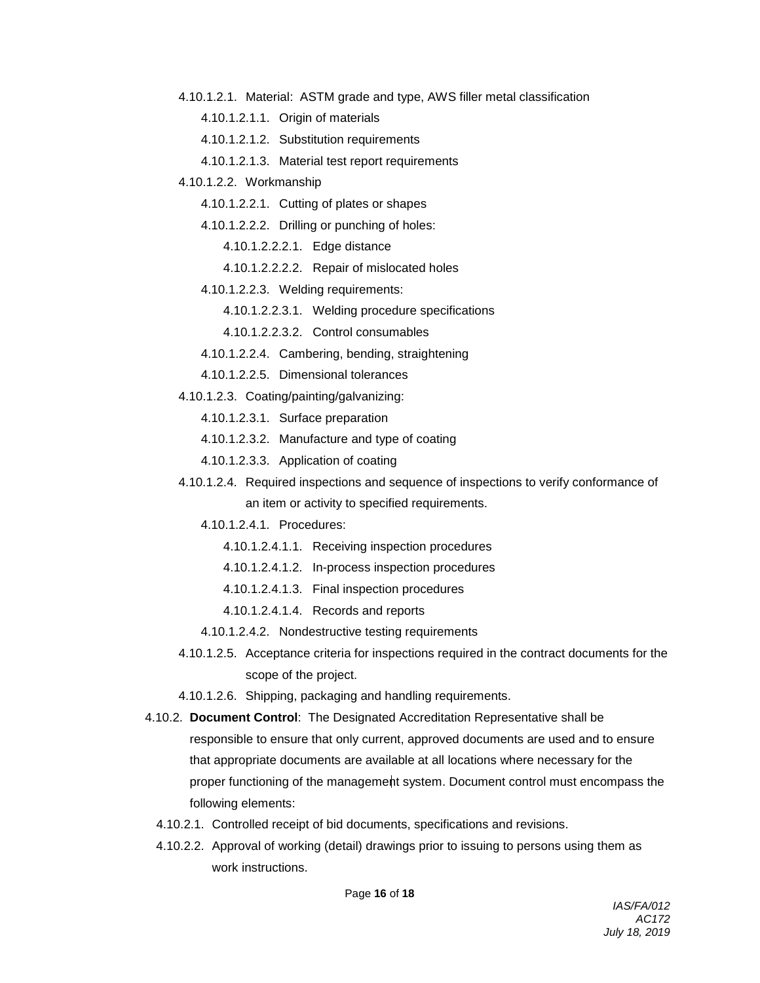- 4.10.1.2.1. Material: ASTM grade and type, AWS filler metal classification
	- 4.10.1.2.1.1. Origin of materials
	- 4.10.1.2.1.2. Substitution requirements
	- 4.10.1.2.1.3. Material test report requirements
- 4.10.1.2.2. Workmanship
	- 4.10.1.2.2.1. Cutting of plates or shapes
	- 4.10.1.2.2.2. Drilling or punching of holes:
		- 4.10.1.2.2.2.1. Edge distance
		- 4.10.1.2.2.2.2. Repair of mislocated holes
	- 4.10.1.2.2.3. Welding requirements:
		- 4.10.1.2.2.3.1. Welding procedure specifications
		- 4.10.1.2.2.3.2. Control consumables
	- 4.10.1.2.2.4. Cambering, bending, straightening
	- 4.10.1.2.2.5. Dimensional tolerances
- 4.10.1.2.3. Coating/painting/galvanizing:
	- 4.10.1.2.3.1. Surface preparation
	- 4.10.1.2.3.2. Manufacture and type of coating
	- 4.10.1.2.3.3. Application of coating
- 4.10.1.2.4. Required inspections and sequence of inspections to verify conformance of an item or activity to specified requirements.
	- 4.10.1.2.4.1. Procedures:
		- 4.10.1.2.4.1.1. Receiving inspection procedures
		- 4.10.1.2.4.1.2. In-process inspection procedures
		- 4.10.1.2.4.1.3. Final inspection procedures
		- 4.10.1.2.4.1.4. Records and reports
	- 4.10.1.2.4.2. Nondestructive testing requirements
- 4.10.1.2.5. Acceptance criteria for inspections required in the contract documents for the scope of the project.
- 4.10.1.2.6. Shipping, packaging and handling requirements.
- 4.10.2. **Document Control**: The Designated Accreditation Representative shall be responsible to ensure that only current, approved documents are used and to ensure that appropriate documents are available at all locations where necessary for the proper functioning of the management system. Document control must encompass the following elements:
	- 4.10.2.1. Controlled receipt of bid documents, specifications and revisions.
	- 4.10.2.2. Approval of working (detail) drawings prior to issuing to persons using them as work instructions.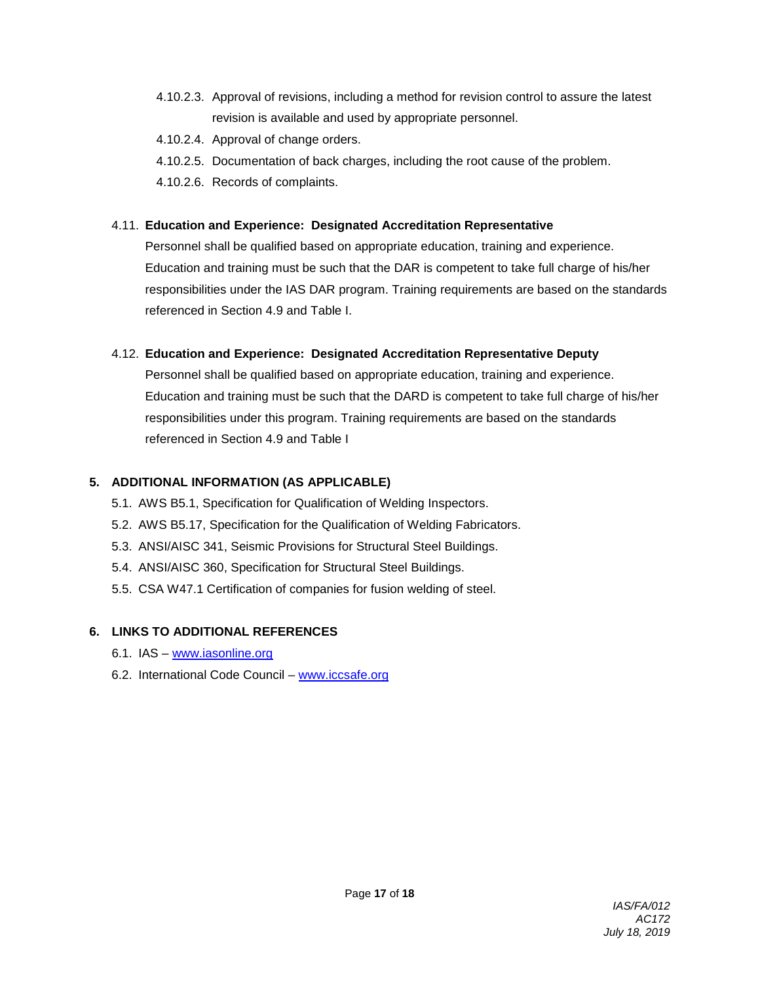- 4.10.2.3. Approval of revisions, including a method for revision control to assure the latest revision is available and used by appropriate personnel.
- 4.10.2.4. Approval of change orders.
- 4.10.2.5. Documentation of back charges, including the root cause of the problem.
- 4.10.2.6. Records of complaints.

### 4.11. **Education and Experience: Designated Accreditation Representative**

Personnel shall be qualified based on appropriate education, training and experience. Education and training must be such that the DAR is competent to take full charge of his/her responsibilities under the IAS DAR program. Training requirements are based on the standards referenced in Section 4.9 and Table I.

### 4.12. **Education and Experience: Designated Accreditation Representative Deputy**

Personnel shall be qualified based on appropriate education, training and experience. Education and training must be such that the DARD is competent to take full charge of his/her responsibilities under this program. Training requirements are based on the standards referenced in Section 4.9 and Table I

### **5. ADDITIONAL INFORMATION (AS APPLICABLE)**

- 5.1. AWS B5.1, Specification for Qualification of Welding Inspectors.
- 5.2. AWS B5.17, Specification for the Qualification of Welding Fabricators.
- 5.3. ANSI/AISC 341, Seismic Provisions for Structural Steel Buildings.
- 5.4. ANSI/AISC 360, Specification for Structural Steel Buildings.
- 5.5. CSA W47.1 Certification of companies for fusion welding of steel.

# **6. LINKS TO ADDITIONAL REFERENCES**

- 6.1. IAS [www.iasonline.org](http://www.iasonline.org/)
- 6.2. International Code Council [www.iccsafe.org](http://www.iccsafe.org/)